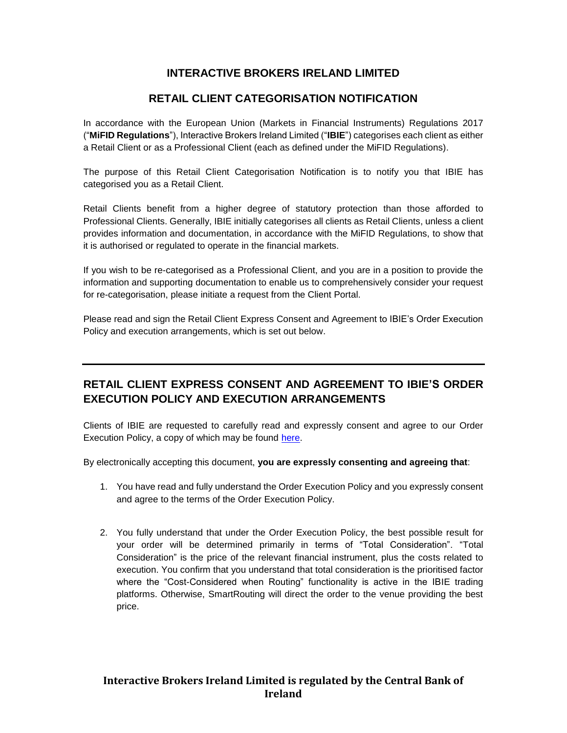## **INTERACTIVE BROKERS IRELAND LIMITED**

## **RETAIL CLIENT CATEGORISATION NOTIFICATION**

In accordance with the European Union (Markets in Financial Instruments) Regulations 2017 ("**MiFID Regulations**"), Interactive Brokers Ireland Limited ("**IBIE**") categorises each client as either a Retail Client or as a Professional Client (each as defined under the MiFID Regulations).

The purpose of this Retail Client Categorisation Notification is to notify you that IBIE has categorised you as a Retail Client.

Retail Clients benefit from a higher degree of statutory protection than those afforded to Professional Clients. Generally, IBIE initially categorises all clients as Retail Clients, unless a client provides information and documentation, in accordance with the MiFID Regulations, to show that it is authorised or regulated to operate in the financial markets.

If you wish to be re-categorised as a Professional Client, and you are in a position to provide the information and supporting documentation to enable us to comprehensively consider your request for re-categorisation, please initiate a request from the Client Portal.

Please read and sign the Retail Client Express Consent and Agreement to IBIE's Order Execution Policy and execution arrangements, which is set out below.

## **RETAIL CLIENT EXPRESS CONSENT AND AGREEMENT TO IBIE'S ORDER EXECUTION POLICY AND EXECUTION ARRANGEMENTS**

Clients of IBIE are requested to carefully read and expressly consent and agree to our Order Execution Policy, a copy of which may be found [here.](https://gdcdyn.interactivebrokers.com/Universal/servlet/Registration_v2.formSampleView?formdb=4760)

By electronically accepting this document, **you are expressly consenting and agreeing that**:

- 1. You have read and fully understand the Order Execution Policy and you expressly consent and agree to the terms of the Order Execution Policy.
- 2. You fully understand that under the Order Execution Policy, the best possible result for your order will be determined primarily in terms of "Total Consideration". "Total Consideration" is the price of the relevant financial instrument, plus the costs related to execution. You confirm that you understand that total consideration is the prioritised factor where the "Cost-Considered when Routing" functionality is active in the IBIE trading platforms. Otherwise, SmartRouting will direct the order to the venue providing the best price.

## **Interactive Brokers Ireland Limited is regulated by the Central Bank of Ireland**